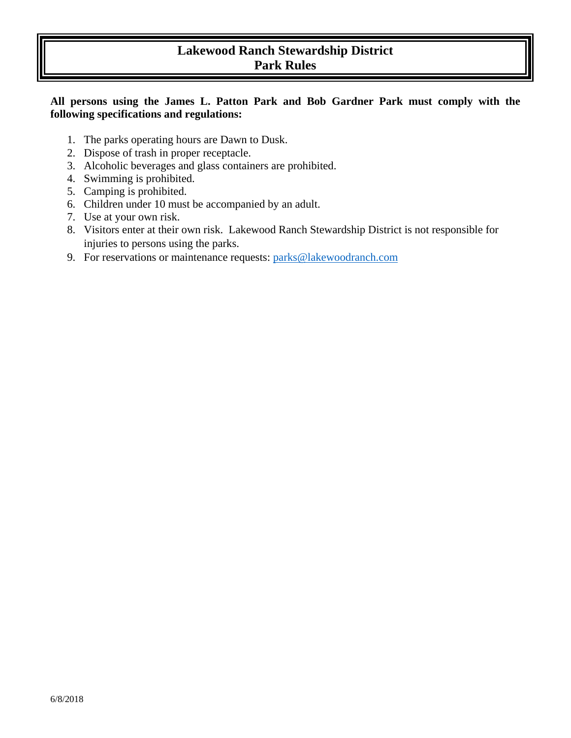# **Park Rules**  II <sup>11</sup> **Lakewood Ranch Stewardship District**

## **All persons using the James L. Patton Park and Bob Gardner Park must comply with the following specifications and regulations:**

- 1. The parks operating hours are Dawn to Dusk.
- 2. Dispose of trash in proper receptacle.
- 3. Alcoholic beverages and glass containers are prohibited.
- 4. Swimming is prohibited.
- 5. Camping is prohibited.
- 6. Children under 10 must be accompanied by an adult.
- 7. Use at your own risk.
- 8. Visitors enter at their own risk. Lakewood Ranch Stewardship District is not responsible for injuries to persons using the parks.
- 9. For reservations or maintenance requests: parks@lakewoodranch.com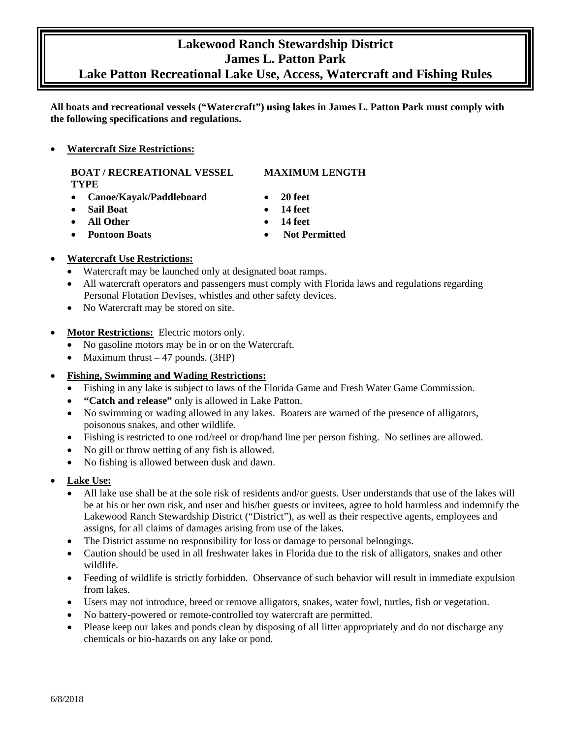# **Lakewood Ranch Stewardship District James L. Patton Park**

# **Lake Patton Recreational Lake Use, Access, Watercraft and Fishing Rules**

**All boats and recreational vessels ("Watercraft") using lakes in James L. Patton Park must comply with the following specifications and regulations.** 

### • **Watercraft Size Restrictions:**

## **BOAT / RECREATIONAL VESSEL MAXIMUM LENGTH TYPE**

- **Canoe/Kayak/Paddleboard 20 feet**
- **Sail Boat 14 feet**
- **All Other 14 feet**
- 

- 
- 
- 
- **Pontoon Boats Not Permitted**
- **Watercraft Use Restrictions:** 
	- $\bullet$ Watercraft may be launched only at designated boat ramps.
	- • All watercraft operators and passengers must comply with Florida laws and regulations regarding Personal Flotation Devises, whistles and other safety devices.
	- No Watercraft may be stored on site.
- • **Motor Restrictions:** Electric motors only.
	- $\bullet$ • No gasoline motors may be in or on the Watercraft.
	- $\bullet$ Maximum thrust  $-47$  pounds. (3HP)
- **Fishing, Swimming and Wading Restrictions:** 
	- Fishing in any lake is subject to laws of the Florida Game and Fresh Water Game Commission.
	- **"Catch and release"** only is allowed in Lake Patton.
	- No swimming or wading allowed in any lakes. Boaters are warned of the presence of alligators, poisonous snakes, and other wildlife.
	- Fishing is restricted to one rod/reel or drop/hand line per person fishing. No setlines are allowed.
	- No gill or throw netting of any fish is allowed.
	- No fishing is allowed between dusk and dawn.
- **Lake Use:** 
	- All lake use shall be at the sole risk of residents and/or guests. User understands that use of the lakes will be at his or her own risk, and user and his/her guests or invitees, agree to hold harmless and indemnify the Lakewood Ranch Stewardship District ("District"), as well as their respective agents, employees and assigns, for all claims of damages arising from use of the lakes.
	- The District assume no responsibility for loss or damage to personal belongings.
	- Caution should be used in all freshwater lakes in Florida due to the risk of alligators, snakes and other wildlife.
	- • Feeding of wildlife is strictly forbidden. Observance of such behavior will result in immediate expulsion from lakes.
	- Users may not introduce, breed or remove alligators, snakes, water fowl, turtles, fish or vegetation.
	- No battery-powered or remote-controlled toy watercraft are permitted.
	- Please keep our lakes and ponds clean by disposing of all litter appropriately and do not discharge any chemicals or bio-hazards on any lake or pond.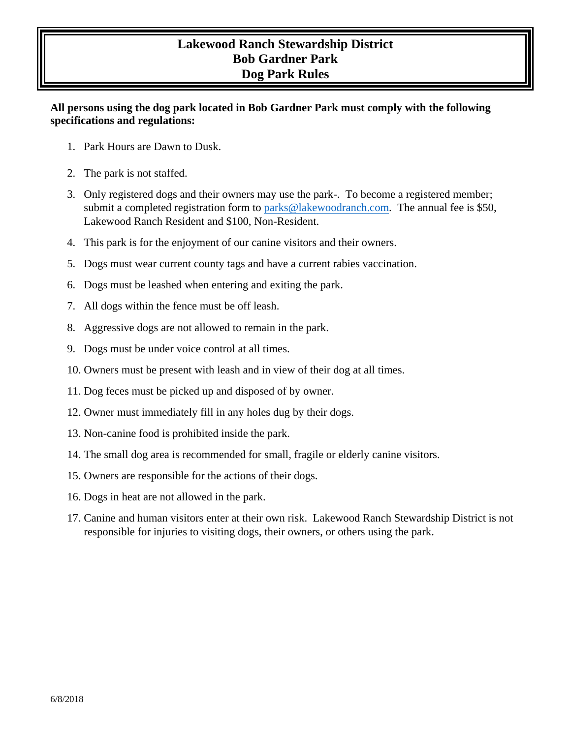# **Lakewood Ranch Stewardship District Bob Gardner Park Dog Park Rules**

## **All persons using the dog park located in Bob Gardner Park must comply with the following specifications and regulations:**

- 1. Park Hours are Dawn to Dusk.
- 2. The park is not staffed.
- 3. Only registered dogs and their owners may use the park-. To become a registered member; submit a completed registration form to [parks@lakewoodranch.com.](mailto:parks@lakewoodranch.com) The annual fee is \$50, Lakewood Ranch Resident and \$100, Non-Resident.
- 4. This park is for the enjoyment of our canine visitors and their owners.
- 5. Dogs must wear current county tags and have a current rabies vaccination.
- 6. Dogs must be leashed when entering and exiting the park.
- 7. All dogs within the fence must be off leash.
- 8. Aggressive dogs are not allowed to remain in the park.
- 9. Dogs must be under voice control at all times.
- 10. Owners must be present with leash and in view of their dog at all times.
- 11. Dog feces must be picked up and disposed of by owner.
- 12. Owner must immediately fill in any holes dug by their dogs.
- 13. Non-canine food is prohibited inside the park.
- 14. The small dog area is recommended for small, fragile or elderly canine visitors.
- 15. Owners are responsible for the actions of their dogs.
- 16. Dogs in heat are not allowed in the park.
- 17. Canine and human visitors enter at their own risk. Lakewood Ranch Stewardship District is not responsible for injuries to visiting dogs, their owners, or others using the park.